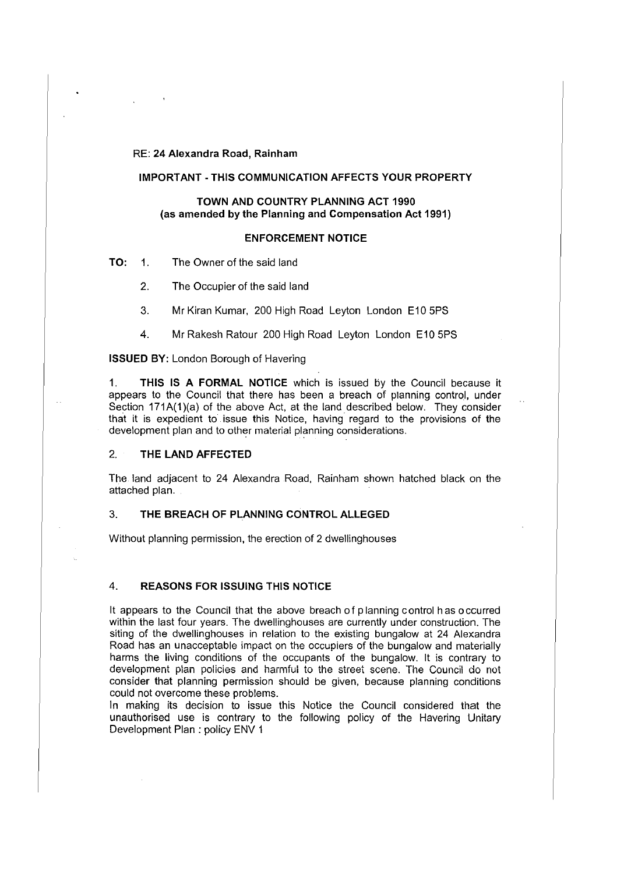#### RE: **24 Alexandra Road, Rainham**

### **IMPORTANT -THIS COMMUNICATION AFFECTS YOUR PROPERTY**

# **TOWN AND COUNTRY PLANNING ACT 1990** (as **amended by the Planning and Compensation Act 1991)**

#### **ENFORCEMENT NOTICE**

**TO:** 1. The Owner of the said land

2. The Occupier of the said land

3. Mr Kiran Kumar, 200 High Road Leyton London E10 5PS

4. Mr Rakesh Ratour 200 High Road Leyton London E10 5PS

#### **ISSUED BY:** London Borough of Havering

1. **THIS IS A FORMAL NOTICE** which is issued by the Council because it appears to the Council that there has been a breach of planning control, under Section 171A(1)(a) of the above Act, at the land described below. They consider that it is expedient to issue this Notice, having regard to the provisions of the development plan and to other material planning considerations.

# 2. **THE LAND AFFECTED**

The land adjacent to 24 Alexandra Road, Rainham shown hatched black on the attached plan.

#### 3. **THE BREACH OF PLANNING CONTROL ALLEGED**

Without planning permission, the erection of 2 dwellinghouses

# 4. **REASONS FOR ISSUING THIS NOTICE**

It appears to the Council that the above breach of planning control has occurred within the last four years. The dwellinghouses are currently under construction. The siting of the dwellinghouses in relation to the existing bungalow at 24 Alexandra Road has an unacceptable impact on the occupiers of the bungalow and materially harms the living conditions of the occupants of the bungalow. It is contrary to development plan policies and harmful to the street scene. The Council do not consider that planning permission should be given, because planning conditions could not overcome these problems.

In making its decision to issue this Notice the Council considered that the unauthorised use is contrary to the following policy of the Havering Unitary Development Plan : policy ENV 1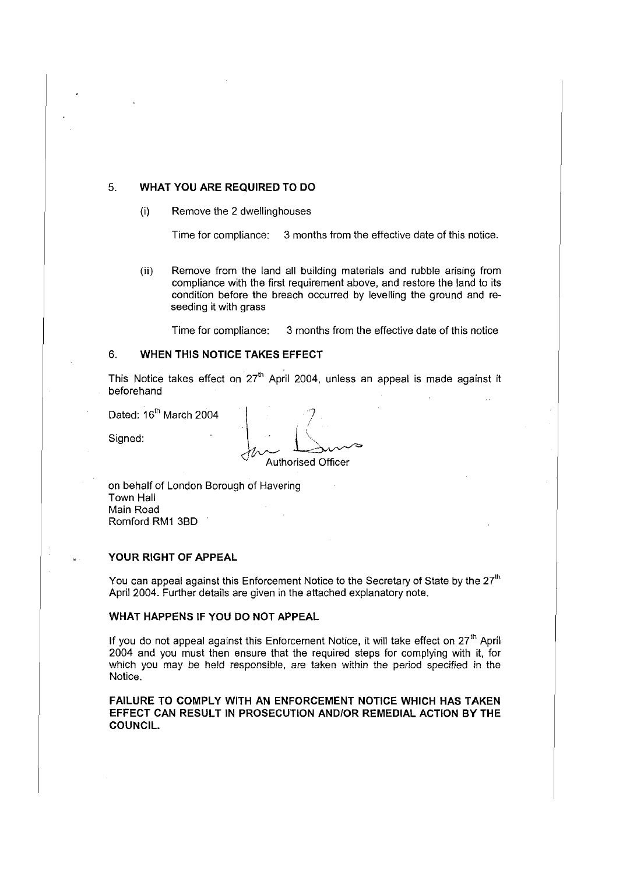## 5. **WHAT YOU ARE REQUIRED TO DO**

(i) Remove the 2 dwellinghouses

Time for compliance: 3 months from the effective date of this notice.

(ii) Remove from the land all building materials and rubble arising from compliance with the first requirement above, and restore the land to its condition before the breach occurred by levelling the ground and reseeding it with grass

Time for compliance: 3 months from the effective date of this notice

# 6. **WHEN THIS NOTICE TAKES EFFECT**

This Notice takes effect on  $27<sup>th</sup>$  April 2004, unless an appeal is made against it beforehand

Dated:  $16<sup>th</sup>$  March 2004

Signed:

 $\mathcal{L}_{\mathcal{A}}$ Authorised Officer

on behalf of London Borough of Havering Town Hall Main Road Romford RM1 380

## **YOUR RIGHT OF APPEAL**

You can appeal against this Enforcement Notice to the Secretary of State by the  $27<sup>th</sup>$ April 2004. Further details are given in the attached explanatory note.

### **WHAT HAPPENS IF YOU DO NOT APPEAL**

If you do not appeal against this Enforcement Notice, it will take effect on  $27<sup>th</sup>$  April 2004 and you must then ensure that the required steps for complying with it, for which you may be held responsible, are taken within the period specified in the Notice.

**FAILURE TO COMPLY WITH AN ENFORCEMENT NOTICE WHICH HAS TAKEN EFFECT CAN RESULT IN PROSECUTION AND/OR REMEDIAL ACTION BY THE COUNCIL.**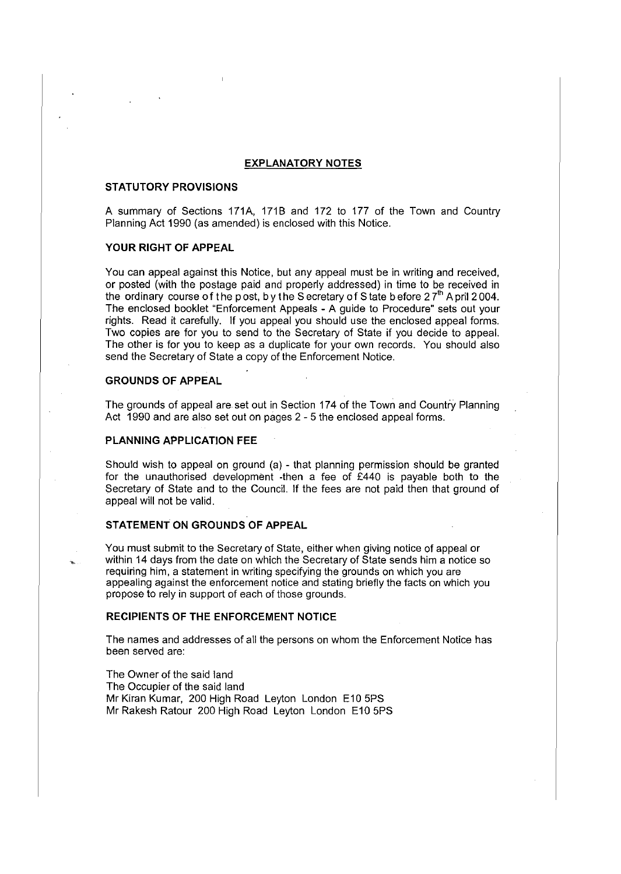#### **EXPLANATORY NOTES**

#### **STATUTORY PROVISIONS**

A summary of Sections 171A, 1718 and 172 to 177 of the Town and Country Planning Act 1990 (as amended) is enclosed with this Notice.

# **YOUR RIGHT OF APPEAL**

You can appeal against this Notice, but any appeal must be in writing and received, or posted (with the postage paid and properly addressed) in time to be received in the ordinary course of the post, by the Secretary of State before  $27<sup>th</sup>$  April 2004. The enclosed booklet "Enforcement Appeals - A guide to Procedure" sets out your rights. Read it carefully. If you appeal you should use the enclosed appeal forms. Two copies are for you to send to the Secretary of State if you decide to appeal. The other is for you to keep as a duplicate for your own records. You should also send the Secretary of State a copy of the Enforcement Notice.

# **GROUNDS OF APPEAL**

The grounds of appeal are set out in Section 174 of the Town and Country Planning Act 1990 and are also set out on pages 2 - 5 the enclosed appeal forms.

#### **PLANNING APPLICATION FEE**

Should wish to appeal on ground (a) - that planning permission should be granted for the unauthorised development -then a fee of £440 is payable both to the Secretary of State and to the Council. If the fees are not paid then that ground of appeal will not be valid.

#### **STATEMENT ON GROUNDS OF APPEAL**

You must submit to the Secretary of State, either when giving notice of appeal or within 14 days from the date on which the Secretary of State sends him a notice so requiring him, a statement in writing specifying the grounds on which you are appealing against the enforcement notice and stating briefly the facts on which you propose to rely in support of each of those grounds.

#### **RECIPIENTS OF THE ENFORCEMENT NOTICE**

The names and addresses of all the persons on whom the Enforcement Notice has been served are:

The Owner of the said land The Occupier of the said land Mr Kiran Kumar, 200 High Road Leyton London E10 5PS Mr Rakesh Ratour 200 High Road Leyton London E10 5PS